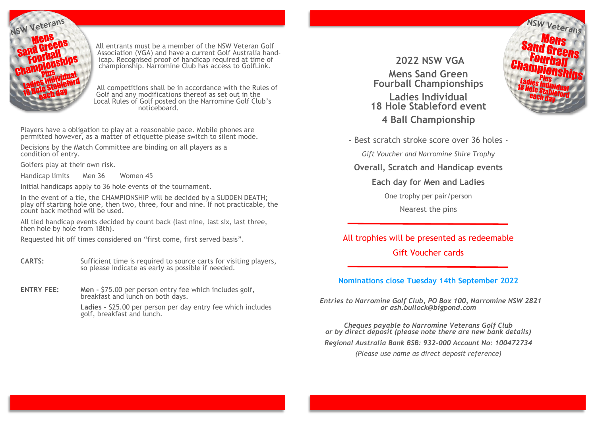

All entrants must be a member of the NSW Veteran Golf Association (VGA) and have a current Golf Australia handicap. Recognised proof of handicap required at time of championship. Narromine Club has access to GolfLink.

All competitions shall be in accordance with the Rules of Golf and any modifications thereof as set out in the Local Rules of Golf posted on the Narromine Golf Club's noticeboard.

Players have a obligation to play at a reasonable pace. Mobile phones are permitted however, as a matter of etiquette please switch to silent mode.

Decisions by the Match Committee are binding on all players as a condition of entry.

Golfers play at their own risk.

Handicap limits Men 36 Women 45

Initial handicaps apply to 36 hole events of the tournament.

In the event of a tie, the CHAMPIONSHIP will be decided by a SUDDEN DEATH; play off starting hole one, then two, three, four and nine. If not practicable, the count back method will be used.

All tied handicap events decided by count back (last nine, last six, last three, then hole by hole from 18th).

Requested hit off times considered on "first come, first served basis".

- **CARTS:** Sufficient time is required to source carts for visiting players, so please indicate as early as possible if needed.
- **ENTRY FEE:** Men \$75.00 per person entry fee which includes golf, breakfast and lunch on both days.

**Ladies -** \$25.00 per person per day entry fee which includes golf, breakfast and lunch.

**2022 NSW VGA Mens Sand Green Fourball Championships Ladies Individual 18 Hole Stableford event 4 Ball Championship**



- Best scratch stroke score over 36 holes -

*Gift Voucher and Narromine Shire Trophy*

**Overall, Scratch and Handicap events**

**Each day for Men and Ladies**

One trophy per pair/person

Nearest the pins

All trophies will be presented as redeemable Gift Voucher cards

#### **Nominations close Tuesday 14th September 2022**

*Entries to Narromine Golf Club, PO Box 100, Narromine NSW 2821 or ash.bullock@bigpond.com*

*Cheques payable to Narromine Veterans Golf Club or by direct deposit (please note there are new bank details)*

*Regional Australia Bank BSB: 932-000 Account No: 100472734*

*(Please use name as direct deposit reference)*